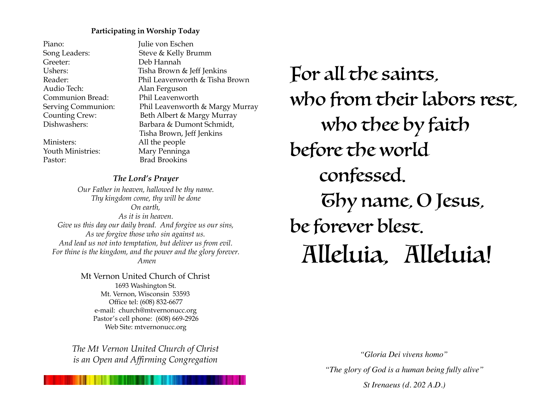#### **Participating in Worship Today**

Piano: Julie von Eschen Greeter: Deb Hannah Audio Tech: Alan Ferguson Communion Bread: Phil Leavenworth

Ministers: All the people Youth Ministries: Mary Penninga Pastor: Brad Brookins

Song Leaders: Steve & Kelly Brumm Ushers: Tisha Brown & Jeff Jenkins Reader: Phil Leavenworth & Tisha Brown Serving Communion: Phil Leavenworth & Margy Murray Counting Crew: Beth Albert & Margy Murray Dishwashers: Barbara & Dumont Schmidt, Tisha Brown, Jeff Jenkins

#### *The Lord's Prayer*

*Our Father in heaven, hallowed be thy name. Thy kingdom come, thy will be done On earth, As it is in heaven. Give us this day our daily bread. And forgive us our sins, As we forgive those who sin against us. And lead us not into temptation, but deliver us from evil. For thine is the kingdom, and the power and the glory forever. Amen*

> Mt Vernon United Church of Christ 1693 Washington St. Mt. Vernon, Wisconsin 53593 Office tel: (608) 832-6677 e-mail: church@mtvernonucc.org Pastor's cell phone: (608) 669-2926 Web Site: [mtvernonucc.org](http://mtvernonucc.org)

*The Mt Vernon United Church of Christ is an Open and Affirming Congregation*

For all the saints, who from their labors rest, who thee by faith before the world confessed. Thy name, O Jesus, be forever blest. Alleluia, Alleluia!

> *"Gloria Dei vivens homo" "The glory of God is a human being fully alive" St Irenaeus (d. 202 A.D.)*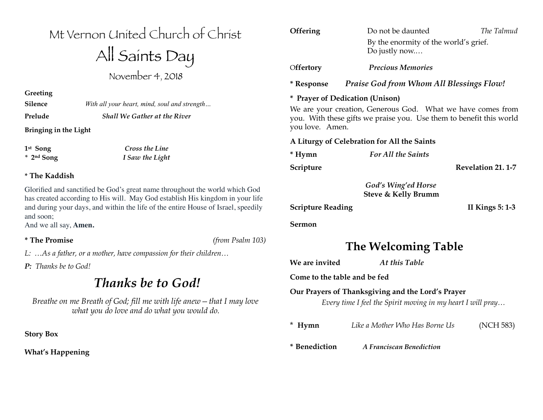|                                                                                                | Mt Vernon United Church of Christ                                                                                                                            |                                                                                                                                    | Do not be daunted<br>The Talmud<br>By the enormity of the world's grief.<br>Do justly now |  |  |
|------------------------------------------------------------------------------------------------|--------------------------------------------------------------------------------------------------------------------------------------------------------------|------------------------------------------------------------------------------------------------------------------------------------|-------------------------------------------------------------------------------------------|--|--|
|                                                                                                | All Saints Day                                                                                                                                               | Offertory                                                                                                                          | <b>Precious Memories</b>                                                                  |  |  |
|                                                                                                | November 4, 2018                                                                                                                                             | * Response                                                                                                                         | <b>Praise God from Whom All Blessings Flow!</b>                                           |  |  |
| Greeting                                                                                       |                                                                                                                                                              |                                                                                                                                    | * Prayer of Dedication (Unison)                                                           |  |  |
| Silence                                                                                        | With all your heart, mind, soul and strength                                                                                                                 | We are your creation, Generous God. What we have comes from<br>you. With these gifts we praise you. Use them to benefit this world |                                                                                           |  |  |
| Prelude                                                                                        | <b>Shall We Gather at the River</b>                                                                                                                          |                                                                                                                                    |                                                                                           |  |  |
| Bringing in the Light                                                                          |                                                                                                                                                              | you love. Amen.                                                                                                                    |                                                                                           |  |  |
|                                                                                                |                                                                                                                                                              | A Liturgy of Celebration for All the Saints                                                                                        |                                                                                           |  |  |
| 1st Song<br>$*$ 2 <sup>nd</sup> Song                                                           | Cross the Line<br>I Saw the Light                                                                                                                            | * Hymn                                                                                                                             | For All the Saints                                                                        |  |  |
|                                                                                                |                                                                                                                                                              | Scripture                                                                                                                          | Revelation 21, 1-7                                                                        |  |  |
| * The Kaddish                                                                                  |                                                                                                                                                              |                                                                                                                                    |                                                                                           |  |  |
|                                                                                                | Glorified and sanctified be God's great name throughout the world which God<br>has created according to His will. May God establish His kingdom in your life |                                                                                                                                    | God's Wing'ed Horse<br>Steve & Kelly Brumm                                                |  |  |
| and during your days, and within the life of the entire House of Israel, speedily<br>and soon; |                                                                                                                                                              | <b>Scripture Reading</b>                                                                                                           | II Kings 5: 1-3                                                                           |  |  |
| And we all say, <b>Amen.</b>                                                                   |                                                                                                                                                              | <b>Sermon</b>                                                                                                                      |                                                                                           |  |  |

**\* The Promise** *(from Psalm 103)*

*L: …As a father, or a mother, have compassion for their children…*

*P: Thanks be to God!*

# *Thanks be to God!*

*Breathe on me Breath of God; fill me with life anew—that I may love what you do love and do what you would do.*

**Story Box** 

**What's Happening** 

**The Welcoming Table**

**We are invited** *At this Table* 

**Come to the table and be fed** 

## **Our Prayers of Thanksgiving and the Lord's Prayer**

*Every time I feel the Spirit moving in my heart I will pray…*

| * Hymn | Like a Mother Who Has Borne Us | (NCH 583) |
|--------|--------------------------------|-----------|
|        |                                |           |

**\* Benediction** *A Franciscan Benediction*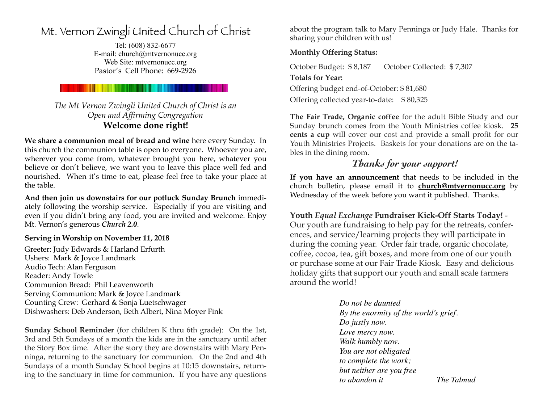# Mt. Vernon Zwingli United Church of Christ

Tel: (608) 832-6677 E-mail: church@mtvernonucc.org Web Site: [mtvernonucc.org](http://mtvernonucc.org) Pastor's Cell Phone: 669-2926

## *The Mt Vernon Zwingli United Church of Christ is an Open and Affirming Congregation*  **Welcome done right!**

**We share a communion meal of bread and wine** here every Sunday. In this church the communion table is open to everyone. Whoever you are, wherever you come from, whatever brought you here, whatever you believe or don't believe, we want you to leave this place well fed and nourished. When it's time to eat, please feel free to take your place at the table.

**And then join us downstairs for our potluck Sunday Brunch** immediately following the worship service. Especially if you are visiting and even if you didn't bring any food, you are invited and welcome. Enjoy Mt. Vernon's generous *Church 2.0*.

#### **Serving in Worship on November 11, 2018**

Greeter: Judy Edwards & Harland Erfurth Ushers: Mark & Joyce Landmark Audio Tech: Alan Ferguson Reader: Andy Towle Communion Bread: Phil Leavenworth Serving Communion: Mark & Joyce Landmark Counting Crew: Gerhard & Sonja Luetschwager Dishwashers: Deb Anderson, Beth Albert, Nina Moyer Fink

**Sunday School Reminder** (for children K thru 6th grade): On the 1st, 3rd and 5th Sundays of a month the kids are in the sanctuary until after the Story Box time. After the story they are downstairs with Mary Penninga, returning to the sanctuary for communion. On the 2nd and 4th Sundays of a month Sunday School begins at 10:15 downstairs, returning to the sanctuary in time for communion. If you have any questions about the program talk to Mary Penninga or Judy Hale. Thanks for sharing your children with us!

#### **Monthly Offering Status:**

October Budget: \$ 8,187 October Collected: \$ 7,307 **Totals for Year:**  Offering budget end-of-October: \$ 81,680 Offering collected year-to-date: \$80,325

**The Fair Trade, Organic coffee** for the adult Bible Study and our Sunday brunch comes from the Youth Ministries coffee kiosk. **25 cents a cup** will cover our cost and provide a small profit for our Youth Ministries Projects. Baskets for your donations are on the tables in the dining room.

# *Thanks for your support!*

**If you have an announcement** that needs to be included in the church bulletin, please email it to **[church@mtvernonucc.org](mailto:church@mtvernonucc.org)** by Wednesday of the week before you want it published. Thanks.

**Youth** *Equal Exchange* **Fundraiser Kick-Off Starts Today!** - Our youth are fundraising to help pay for the retreats, conferences, and service/learning projects they will participate in during the coming year. Order fair trade, organic chocolate, coffee, cocoa, tea, gift boxes, and more from one of our youth or purchase some at our Fair Trade Kiosk. Easy and delicious holiday gifts that support our youth and small scale farmers around the world!

> *Do not be daunted By the enormity of the world's grief. Do justly now. Love mercy now. Walk humbly now. You are not obligated to complete the work; but neither are you free to abandon it The Talmud*